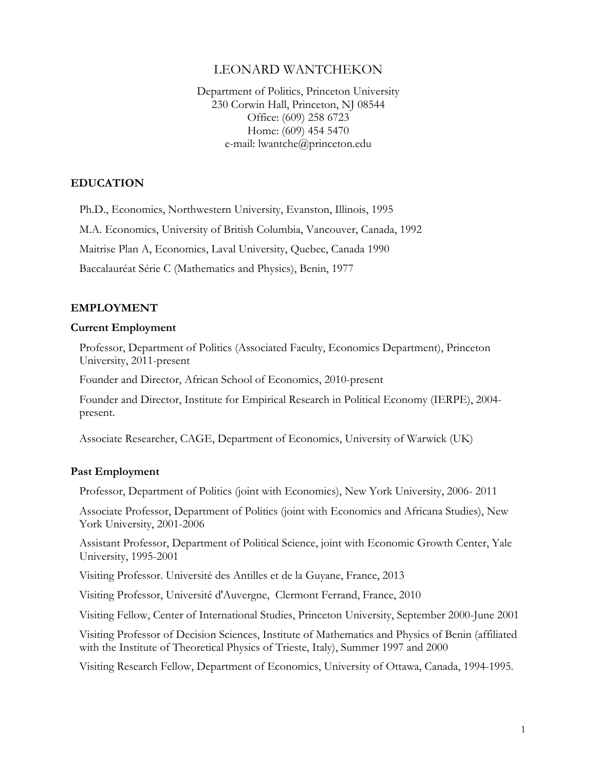# LEONARD WANTCHEKON

Department of Politics, Princeton University 230 Corwin Hall, Princeton, NJ 08544 Office: (609) 258 6723 Home: (609) 454 5470 e-mail: lwantche@princeton.edu

## **EDUCATION**

Ph.D., Economics, Northwestern University, Evanston, Illinois, 1995

M.A. Economics, University of British Columbia, Vancouver, Canada, 1992

Maitrise Plan A, Economics, Laval University, Quebec, Canada 1990

Baccalauréat Série C (Mathematics and Physics), Benin, 1977

### **EMPLOYMENT**

#### **Current Employment**

Professor, Department of Politics (Associated Faculty, Economics Department), Princeton University, 2011-present

Founder and Director, African School of Economics, 2010-present

 Founder and Director, Institute for Empirical Research in Political Economy (IERPE), 2004 present.

Associate Researcher, CAGE, Department of Economics, University of Warwick (UK)

### **Past Employment**

Professor, Department of Politics (joint with Economics), New York University, 2006- 2011

 Associate Professor, Department of Politics (joint with Economics and Africana Studies), New York University, 2001-2006

 Assistant Professor, Department of Political Science, joint with Economic Growth Center, Yale University, 1995-2001

Visiting Professor. Université des Antilles et de la Guyane, France, 2013

Visiting Professor, Université d'Auvergne, Clermont Ferrand, France, 2010

Visiting Fellow, Center of International Studies, Princeton University, September 2000-June 2001

 Visiting Professor of Decision Sciences, Institute of Mathematics and Physics of Benin (affiliated with the Institute of Theoretical Physics of Trieste, Italy), Summer 1997 and 2000

Visiting Research Fellow, Department of Economics, University of Ottawa, Canada, 1994-1995.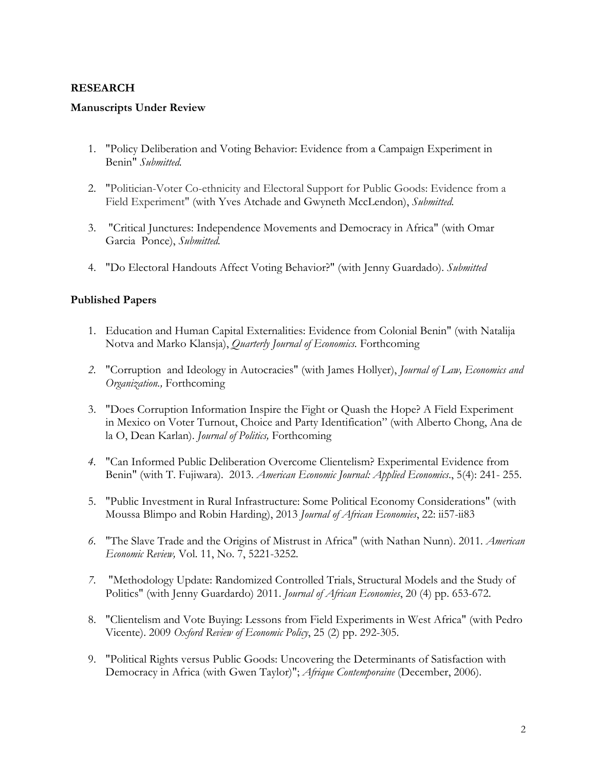# **RESEARCH**

## **Manuscripts Under Review**

- 1. "Policy Deliberation and Voting Behavior: Evidence from a Campaign Experiment in Benin" *Submitted.*
- 2. "Politician-Voter Co-ethnicity and Electoral Support for Public Goods: Evidence from a Field Experiment" (with Yves Atchade and Gwyneth MccLendon), *Submitted.*
- 3. "Critical Junctures: Independence Movements and Democracy in Africa" (with Omar Garcia Ponce), *Submitted.*
- 4. "Do Electoral Handouts Affect Voting Behavior?" (with Jenny Guardado). *Submitted*

# **Published Papers**

- 1. Education and Human Capital Externalities: Evidence from Colonial Benin" (with Natalija Notva and Marko Klansja), *Quarterly Journal of Economics.* Forthcoming
- *2.* "Corruption and Ideology in Autocracies" (with James Hollyer), *Journal of Law, Economics and Organization.,* Forthcoming
- 3. "Does Corruption Information Inspire the Fight or Quash the Hope? A Field Experiment in Mexico on Voter Turnout, Choice and Party Identification" (with Alberto Chong, Ana de la O, Dean Karlan). *Journal of Politics,* Forthcoming
- *4.* "Can Informed Public Deliberation Overcome Clientelism? Experimental Evidence from Benin" (with T. Fujiwara). 2013. *American Economic Journal: Applied Economics*., 5(4): 241- 255.
- 5. "Public Investment in Rural Infrastructure: Some Political Economy Considerations" (with Moussa Blimpo and Robin Harding), 2013 *Journal of African Economies*, 22: ii57-ii83
- *6.* "The Slave Trade and the Origins of Mistrust in Africa" (with Nathan Nunn). 2011*. American Economic Review,* Vol. 11, No. 7, 5221-3252.
- *7.* "Methodology Update: Randomized Controlled Trials, Structural Models and the Study of Politics" (with Jenny Guardardo) 2011. *Journal of African Economies*, 20 (4) pp. 653-672.
- 8. "Clientelism and Vote Buying: Lessons from Field Experiments in West Africa" (with Pedro Vicente). 2009 *Oxford Review of Economic Policy*, 25 (2) pp. 292-305.
- 9. "Political Rights versus Public Goods: Uncovering the Determinants of Satisfaction with Democracy in Africa (with Gwen Taylor)"; *Afrique Contemporaine* (December, 2006).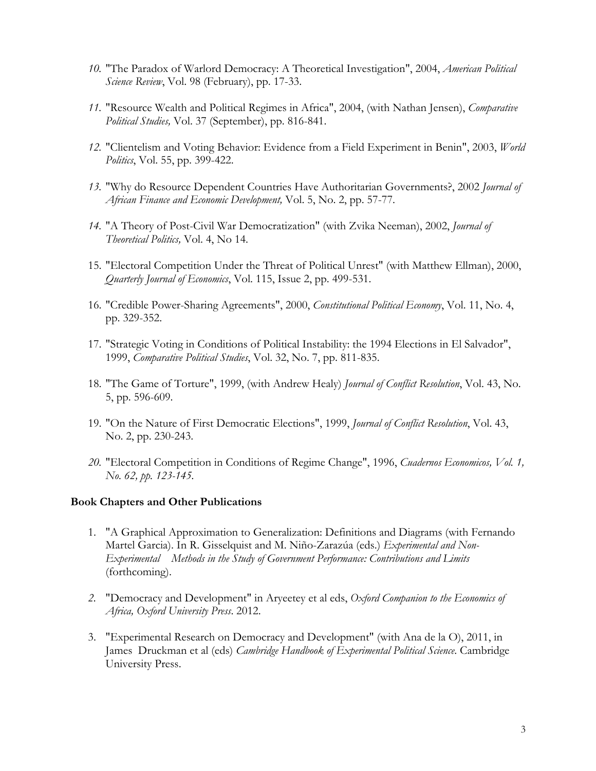- *10.* "The Paradox of Warlord Democracy: A Theoretical Investigation", 2004, *American Political Science Review*, Vol. 98 (February), pp. 17-33.
- *11.* "Resource Wealth and Political Regimes in Africa", 2004, (with Nathan Jensen), *Comparative Political Studies,* Vol. 37 (September), pp. 816-841.
- *12.* "Clientelism and Voting Behavior: Evidence from a Field Experiment in Benin", 2003, *World Politics*, Vol. 55, pp. 399-422.
- *13.* "Why do Resource Dependent Countries Have Authoritarian Governments?, 2002 *Journal of African Finance and Economic Development,* Vol. 5, No. 2, pp. 57-77.
- *14.* "A Theory of Post-Civil War Democratization" (with Zvika Neeman), 2002, *Journal of Theoretical Politics,* Vol. 4, No 14.
- 15. "Electoral Competition Under the Threat of Political Unrest" (with Matthew Ellman), 2000, *Quarterly Journal of Economics*, Vol. 115, Issue 2, pp. 499-531.
- 16. "Credible Power-Sharing Agreements", 2000, *Constitutional Political Economy*, Vol. 11, No. 4, pp. 329-352.
- 17. "Strategic Voting in Conditions of Political Instability: the 1994 Elections in El Salvador", 1999, *Comparative Political Studies*, Vol. 32, No. 7, pp. 811-835.
- 18. "The Game of Torture", 1999, (with Andrew Healy) *Journal of Conflict Resolution*, Vol. 43, No. 5, pp. 596-609.
- 19. "On the Nature of First Democratic Elections", 1999, *Journal of Conflict Resolution*, Vol. 43, No. 2, pp. 230-243.
- *20.* "Electoral Competition in Conditions of Regime Change", 1996, *Cuadernos Economicos, Vol. 1, No. 62, pp. 123-145.*

### **Book Chapters and Other Publications**

- 1. "A Graphical Approximation to Generalization: Definitions and Diagrams (with Fernando Martel Garcia). In R. Gisselquist and M. Niño-Zarazúa (eds.) *Experimental and Non-Experimental Methods in the Study of Government Performance: Contributions and Limits* (forthcoming).
- *2.* "Democracy and Development" in Aryeetey et al eds, *Oxford Companion to the Economics of Africa, Oxford University Press*. 2012.
- 3. "Experimental Research on Democracy and Development" (with Ana de la O), 2011, in James Druckman et al (eds) *Cambridge Handbook of Experimental Political Science*. Cambridge University Press.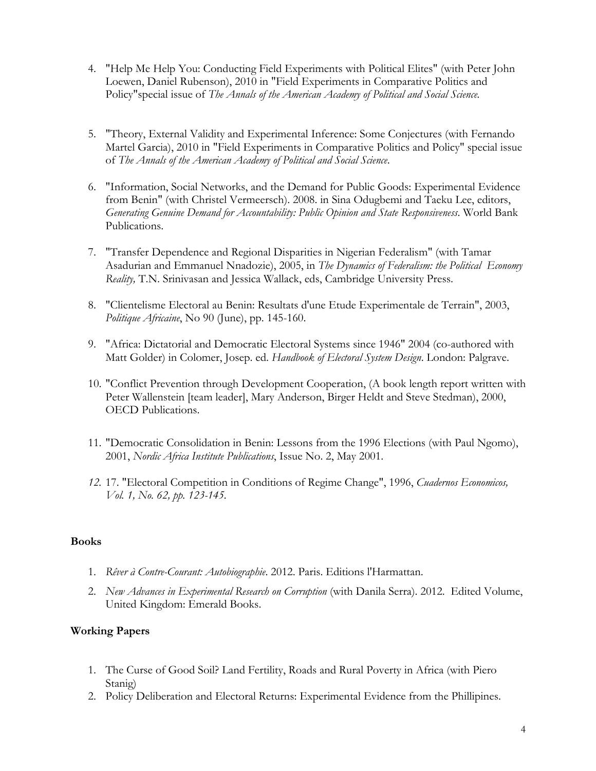- 4. "Help Me Help You: Conducting Field Experiments with Political Elites" (with Peter John Loewen, Daniel Rubenson), 2010 in "Field Experiments in Comparative Politics and Policy"special issue of *The Annals of the American Academy of Political and Social Science.*
- 5. "Theory, External Validity and Experimental Inference: Some Conjectures (with Fernando Martel Garcia), 2010 in "Field Experiments in Comparative Politics and Policy" special issue of *The Annals of the American Academy of Political and Social Science*.
- 6. "Information, Social Networks, and the Demand for Public Goods: Experimental Evidence from Benin" (with Christel Vermeersch). 2008. in Sina Odugbemi and Taeku Lee, editors, *Generating Genuine Demand for Accountability: Public Opinion and State Responsiveness*. World Bank Publications.
- 7. "Transfer Dependence and Regional Disparities in Nigerian Federalism" (with Tamar Asadurian and Emmanuel Nnadozie), 2005, in *The Dynamics of Federalism: the Political Economy Reality,* T.N. Srinivasan and Jessica Wallack, eds, Cambridge University Press.
- 8. "Clientelisme Electoral au Benin: Resultats d'une Etude Experimentale de Terrain", 2003, *Politique Africaine*, No 90 (June), pp. 145-160.
- 9. "Africa: Dictatorial and Democratic Electoral Systems since 1946" 2004 (co-authored with Matt Golder) in Colomer, Josep. ed. *Handbook of Electoral System Design*. London: Palgrave.
- 10. "Conflict Prevention through Development Cooperation, (A book length report written with Peter Wallenstein [team leader], Mary Anderson, Birger Heldt and Steve Stedman), 2000, OECD Publications.
- 11. "Democratic Consolidation in Benin: Lessons from the 1996 Elections (with Paul Ngomo), 2001, *Nordic Africa Institute Publications*, Issue No. 2, May 2001.
- *12.* 17. "Electoral Competition in Conditions of Regime Change", 1996, *Cuadernos Economicos, Vol. 1, No. 62, pp. 123-145.*

# **Books**

- 1. *Rêver à Contre-Courant: Autobiographie*. 2012. Paris. Editions l'Harmattan.
- 2. *New Advances in Experimental Research on Corruption* (with Danila Serra). 2012. Edited Volume, United Kingdom: Emerald Books.

# **Working Papers**

- 1. The Curse of Good Soil? Land Fertility, Roads and Rural Poverty in Africa (with Piero Stanig)
- 2. Policy Deliberation and Electoral Returns: Experimental Evidence from the Phillipines.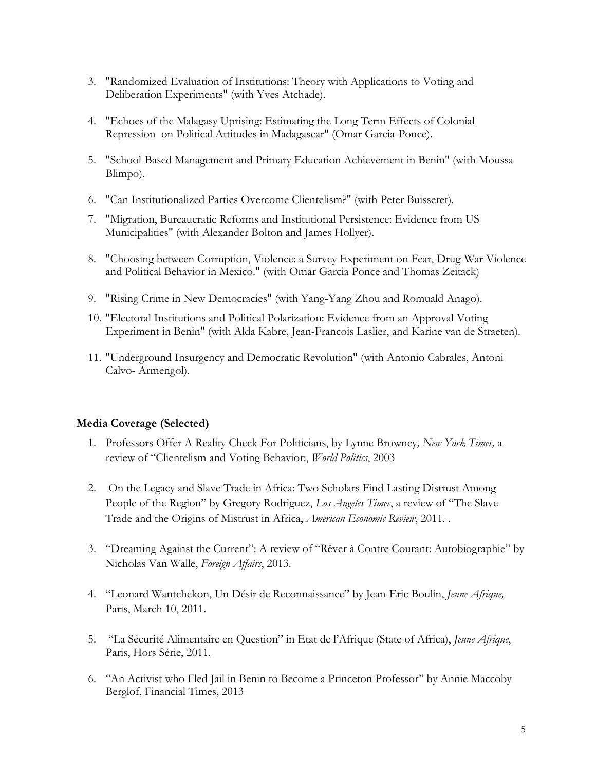- 3. "Randomized Evaluation of Institutions: Theory with Applications to Voting and Deliberation Experiments" (with Yves Atchade).
- 4. "Echoes of the Malagasy Uprising: Estimating the Long Term Effects of Colonial Repression on Political Attitudes in Madagascar" (Omar Garcia-Ponce).
- 5. "School-Based Management and Primary Education Achievement in Benin" (with Moussa Blimpo).
- 6. "Can Institutionalized Parties Overcome Clientelism?" (with Peter Buisseret).
- 7. "Migration, Bureaucratic Reforms and Institutional Persistence: Evidence from US Municipalities" (with Alexander Bolton and James Hollyer).
- 8. "Choosing between Corruption, Violence: a Survey Experiment on Fear, Drug-War Violence and Political Behavior in Mexico." (with Omar Garcia Ponce and Thomas Zeitack)
- 9. "Rising Crime in New Democracies" (with Yang-Yang Zhou and Romuald Anago).
- 10. "Electoral Institutions and Political Polarization: Evidence from an Approval Voting Experiment in Benin" (with Alda Kabre, Jean-Francois Laslier, and Karine van de Straeten).
- 11. "Underground Insurgency and Democratic Revolution" (with Antonio Cabrales, Antoni Calvo- Armengol).

# **Media Coverage (Selected)**

- 1. Professors Offer A Reality Check For Politicians, by Lynne Browney*, New York Times,* a review of "Clientelism and Voting Behavior:, *World Politics*, 2003
- 2. On the Legacy and Slave Trade in Africa: Two Scholars Find Lasting Distrust Among People of the Region" by Gregory Rodriguez, *Los Angeles Times*, a review of "The Slave Trade and the Origins of Mistrust in Africa, *American Economic Review*, 2011. .
- 3. "Dreaming Against the Current": A review of "Rêver à Contre Courant: Autobiographie" by Nicholas Van Walle, *Foreign Affairs*, 2013.
- 4. "Leonard Wantchekon, Un Désir de Reconnaissance" by Jean-Eric Boulin, *Jeune Afrique,* Paris, March 10, 2011.
- 5. "La Sécurité Alimentaire en Question" in Etat de l'Afrique (State of Africa), *Jeune Afrique*, Paris, Hors Série, 2011.
- 6. ''An Activist who Fled Jail in Benin to Become a Princeton Professor'' by Annie Maccoby Berglof, Financial Times, 2013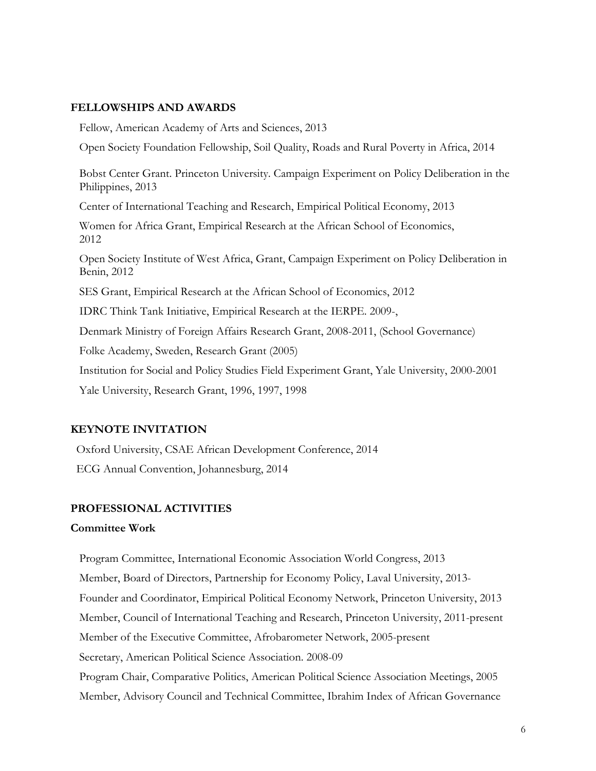## **FELLOWSHIPS AND AWARDS**

 Fellow, American Academy of Arts and Sciences, 2013 Open Society Foundation Fellowship, Soil Quality, Roads and Rural Poverty in Africa, 2014 Bobst Center Grant. Princeton University. Campaign Experiment on Policy Deliberation in the Philippines, 2013 Center of International Teaching and Research, Empirical Political Economy, 2013 Women for Africa Grant, Empirical Research at the African School of Economics, 2012 Open Society Institute of West Africa, Grant, Campaign Experiment on Policy Deliberation in Benin, 2012 SES Grant, Empirical Research at the African School of Economics, 2012 IDRC Think Tank Initiative, Empirical Research at the IERPE. 2009-, Denmark Ministry of Foreign Affairs Research Grant, 2008-2011, (School Governance) Folke Academy, Sweden, Research Grant (2005) Institution for Social and Policy Studies Field Experiment Grant, Yale University, 2000-2001 Yale University, Research Grant, 1996, 1997, 1998

# **KEYNOTE INVITATION**

 Oxford University, CSAE African Development Conference, 2014 ECG Annual Convention, Johannesburg, 2014

## **PROFESSIONAL ACTIVITIES**

#### **Committee Work**

 Program Committee, International Economic Association World Congress, 2013 Member, Board of Directors, Partnership for Economy Policy, Laval University, 2013- Founder and Coordinator, Empirical Political Economy Network, Princeton University, 2013 Member, Council of International Teaching and Research, Princeton University, 2011-present Member of the Executive Committee, Afrobarometer Network, 2005-present Secretary, American Political Science Association. 2008-09 Program Chair, Comparative Politics, American Political Science Association Meetings, 2005 Member, Advisory Council and Technical Committee, Ibrahim Index of African Governance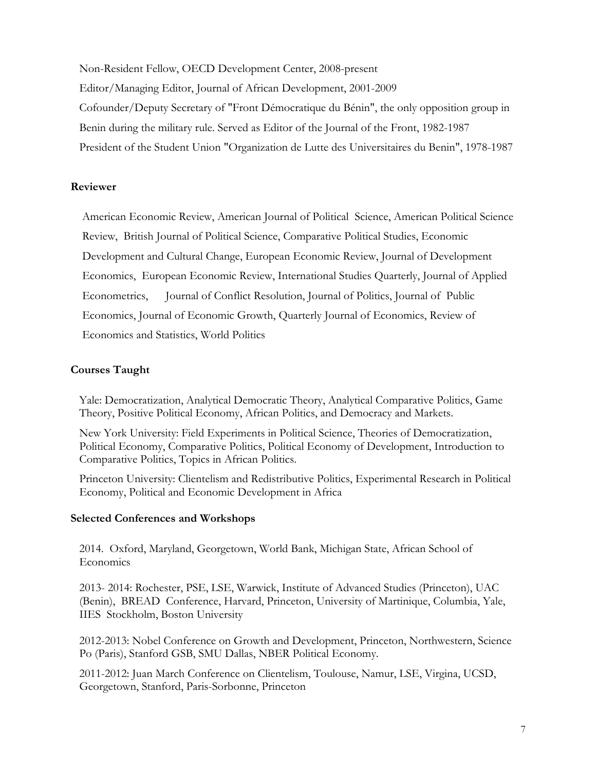Non-Resident Fellow, OECD Development Center, 2008-present Editor/Managing Editor, Journal of African Development, 2001-2009 Cofounder/Deputy Secretary of "Front Démocratique du Bénin", the only opposition group in Benin during the military rule. Served as Editor of the Journal of the Front, 1982-1987 President of the Student Union "Organization de Lutte des Universitaires du Benin", 1978-1987

## **Reviewer**

American Economic Review, American Journal of Political Science, American Political Science Review, British Journal of Political Science, Comparative Political Studies, Economic Development and Cultural Change, European Economic Review, Journal of Development Economics, European Economic Review, International Studies Quarterly, Journal of Applied Econometrics, Journal of Conflict Resolution, Journal of Politics, Journal of Public Economics, Journal of Economic Growth, Quarterly Journal of Economics, Review of Economics and Statistics, World Politics

## **Courses Taught**

 Yale: Democratization, Analytical Democratic Theory, Analytical Comparative Politics, Game Theory, Positive Political Economy, African Politics, and Democracy and Markets.

 New York University: Field Experiments in Political Science, Theories of Democratization, Political Economy, Comparative Politics, Political Economy of Development, Introduction to Comparative Politics, Topics in African Politics.

 Princeton University: Clientelism and Redistributive Politics, Experimental Research in Political Economy, Political and Economic Development in Africa

### **Selected Conferences and Workshops**

2014. Oxford, Maryland, Georgetown, World Bank, Michigan State, African School of **Economics** 

2013- 2014: Rochester, PSE, LSE, Warwick, Institute of Advanced Studies (Princeton), UAC (Benin), BREAD Conference, Harvard, Princeton, University of Martinique, Columbia, Yale, IIES Stockholm, Boston University

 2012-2013: Nobel Conference on Growth and Development, Princeton, Northwestern, Science Po (Paris), Stanford GSB, SMU Dallas, NBER Political Economy.

 2011-2012: Juan March Conference on Clientelism, Toulouse, Namur, LSE, Virgina, UCSD, Georgetown, Stanford, Paris-Sorbonne, Princeton